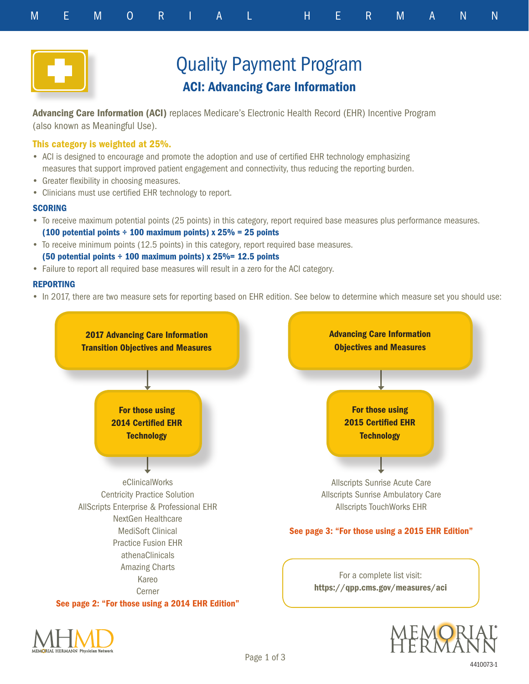



# Quality Payment Program ACI: Advancing Care Information

Advancing Care Information (ACI) replaces Medicare's Electronic Health Record (EHR) Incentive Program (also known as Meaningful Use).

### This category is weighted at 25%.

- ACI is designed to encourage and promote the adoption and use of certified EHR technology emphasizing measures that support improved patient engagement and connectivity, thus reducing the reporting burden.
- Greater flexibility in choosing measures.
- Clinicians must use certified EHR technology to report.

#### **SCORING**

- To receive maximum potential points (25 points) in this category, report required base measures plus performance measures. (100 potential points  $\div$  100 maximum points) x 25% = 25 points
- To receive minimum points (12.5 points) in this category, report required base measures. (50 potential points  $\div$  100 maximum points) x 25%= 12.5 points
- Failure to report all required base measures will result in a zero for the ACI category.

#### REPORTING

• In 2017, there are two measure sets for reporting based on EHR edition. See below to determine which measure set you should use:



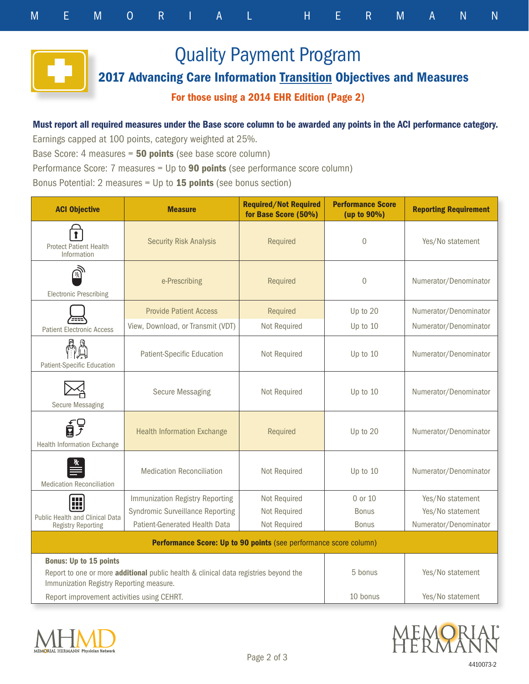Quality Payment Program

2017 Advancing Care Information Transition Objectives and Measures

# For those using a 2014 EHR Edition (Page 2)

# Must report all required measures under the Base score column to be awarded any points in the ACI performance category.

Earnings capped at 100 points, category weighted at 25%.

Base Score: 4 measures = 50 points (see base score column)

Performance Score: 7 measures = Up to **90 points** (see performance score column)

Bonus Potential: 2 measures = Up to  $15$  points (see bonus section)

| <b>ACI Objective</b>                                                                                                             | <b>Measure</b>                          | <b>Required/Not Required</b><br>for Base Score (50%) | <b>Performance Score</b><br>(up to 90%) | <b>Reporting Requirement</b> |  |  |
|----------------------------------------------------------------------------------------------------------------------------------|-----------------------------------------|------------------------------------------------------|-----------------------------------------|------------------------------|--|--|
| <b>Protect Patient Health</b><br>Information                                                                                     | <b>Security Risk Analysis</b>           | Required                                             | $\overline{0}$                          | Yes/No statement             |  |  |
| <b>Electronic Prescribing</b>                                                                                                    | e-Prescribing                           | Required                                             | $\overline{0}$                          | Numerator/Denominator        |  |  |
|                                                                                                                                  | <b>Provide Patient Access</b>           | Required                                             | Up to 20                                | Numerator/Denominator        |  |  |
| <b>Patient Electronic Access</b>                                                                                                 | View, Download, or Transmit (VDT)       | Not Required                                         | Up to 10                                | Numerator/Denominator        |  |  |
| 扁圆<br>Patient-Specific Education                                                                                                 | Patient-Specific Education              | Not Required                                         | Up to 10                                | Numerator/Denominator        |  |  |
| <b>Secure Messaging</b>                                                                                                          | <b>Secure Messaging</b>                 | Not Required                                         | Up to 10                                | Numerator/Denominator        |  |  |
| 鈩<br>Health Information Exchange                                                                                                 | <b>Health Information Exchange</b>      | Required                                             | Up to 20                                | Numerator/Denominator        |  |  |
| <b>Medication Reconciliation</b>                                                                                                 | <b>Medication Reconciliation</b>        | Not Required                                         | Up to 10                                | Numerator/Denominator        |  |  |
| H                                                                                                                                | Immunization Registry Reporting         | Not Required                                         | 0 or 10                                 | Yes/No statement             |  |  |
|                                                                                                                                  | <b>Syndromic Surveillance Reporting</b> | Not Required                                         | Bonus                                   | Yes/No statement             |  |  |
| Public Health and Clinical Data<br><b>Registry Reporting</b>                                                                     | Patient-Generated Health Data           | Not Required                                         | <b>Bonus</b>                            | Numerator/Denominator        |  |  |
| Performance Score: Up to 90 points (see performance score column)                                                                |                                         |                                                      |                                         |                              |  |  |
| <b>Bonus: Up to 15 points</b>                                                                                                    |                                         |                                                      |                                         |                              |  |  |
| Report to one or more additional public health & clinical data registries beyond the<br>Immunization Registry Reporting measure. |                                         |                                                      | 5 bonus                                 | Yes/No statement             |  |  |
| Report improvement activities using CEHRT.                                                                                       |                                         |                                                      | 10 bonus                                | Yes/No statement             |  |  |